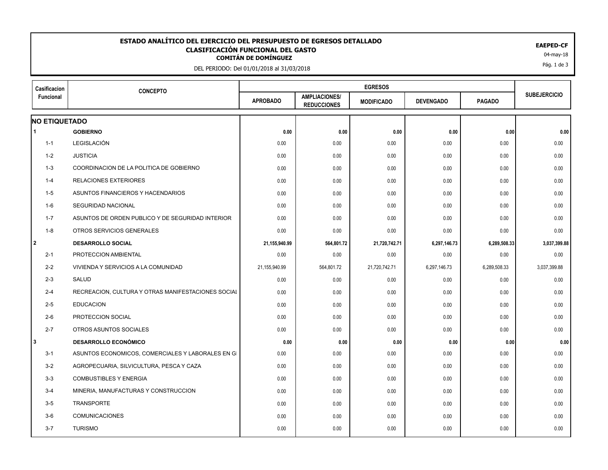## **CLASIFICACIÓN FUNCIONAL DEL GASTO<br>
COMITÁN DE DOMÍNGUEZ<br>
COMITÁN DE DOMÍNGUEZ ESTADO ANALÍTICO DEL EJERCICIO DEL PRESUPUESTO DE EGRESOS DETALLADO EAEPED-CF CLASIFICACIÓN FUNCIONAL DEL GASTO**

DEL PERIODO: Del 01/01/2018 al 31/03/2018

| Casificacion         | <b>CONCEPTO</b>                                    |                 |                                            |                   |                  |               |                     |
|----------------------|----------------------------------------------------|-----------------|--------------------------------------------|-------------------|------------------|---------------|---------------------|
| Funcional            |                                                    | <b>APROBADO</b> | <b>AMPLIACIONES/</b><br><b>REDUCCIONES</b> | <b>MODIFICADO</b> | <b>DEVENGADO</b> | <b>PAGADO</b> | <b>SUBEJERCICIO</b> |
| <b>NO ETIQUETADO</b> |                                                    |                 |                                            |                   |                  |               |                     |
| 1                    | <b>GOBIERNO</b>                                    | 0.00            | 0.00                                       | 0.00              | 0.00             | 0.00          | 0.00                |
| $1 - 1$              | LEGISLACIÓN                                        | 0.00            | 0.00                                       | 0.00              | 0.00             | 0.00          | 0.00                |
| 1-2                  | <b>JUSTICIA</b>                                    | 0.00            | 0.00                                       | 0.00              | 0.00             | 0.00          | 0.00                |
| $1 - 3$              | COORDINACION DE LA POLITICA DE GOBIERNO            | 0.00            | 0.00                                       | 0.00              | 0.00             | 0.00          | 0.00                |
| $1 - 4$              | <b>RELACIONES EXTERIORES</b>                       | 0.00            | 0.00                                       | 0.00              | 0.00             | 0.00          | 0.00                |
| $1-5$                | ASUNTOS FINANCIEROS Y HACENDARIOS                  | 0.00            | 0.00                                       | 0.00              | 0.00             | 0.00          | 0.00                |
| $1-6$                | SEGURIDAD NACIONAL                                 | 0.00            | 0.00                                       | 0.00              | 0.00             | 0.00          | 0.00                |
| $1 - 7$              | ASUNTOS DE ORDEN PUBLICO Y DE SEGURIDAD INTERIOR   | 0.00            | 0.00                                       | 0.00              | 0.00             | 0.00          | 0.00                |
| $1 - 8$              | OTROS SERVICIOS GENERALES                          | 0.00            | 0.00                                       | 0.00              | 0.00             | 0.00          | 0.00                |
| 2                    | <b>DESARROLLO SOCIAL</b>                           | 21,155,940.99   | 564,801.72                                 | 21,720,742.71     | 6,297,146.73     | 6,289,508.33  | 3,037,399.88        |
| $2 - 1$              | PROTECCION AMBIENTAL                               | 0.00            | 0.00                                       | 0.00              | 0.00             | 0.00          | 0.00                |
| $2 - 2$              | VIVIENDA Y SERVICIOS A LA COMUNIDAD                | 21,155,940.99   | 564,801.72                                 | 21,720,742.71     | 6,297,146.73     | 6,289,508.33  | 3,037,399.88        |
| $2 - 3$              | SALUD                                              | 0.00            | 0.00                                       | 0.00              | 0.00             | 0.00          | 0.00                |
| $2 - 4$              | RECREACION, CULTURA Y OTRAS MANIFESTACIONES SOCIAL | 0.00            | 0.00                                       | 0.00              | 0.00             | 0.00          | 0.00                |
| $2 - 5$              | <b>EDUCACION</b>                                   | 0.00            | 0.00                                       | 0.00              | 0.00             | 0.00          | 0.00                |
| $2-6$                | PROTECCION SOCIAL                                  | 0.00            | 0.00                                       | 0.00              | 0.00             | 0.00          | 0.00                |
| $2 - 7$              | OTROS ASUNTOS SOCIALES                             | 0.00            | 0.00                                       | 0.00              | 0.00             | 0.00          | 0.00                |
| 3                    | <b>DESARROLLO ECONÓMICO</b>                        | 0.00            | 0.00                                       | 0.00              | 0.00             | 0.00          | 0.00                |
| $3 - 1$              | ASUNTOS ECONOMICOS, COMERCIALES Y LABORALES EN GI  | 0.00            | 0.00                                       | 0.00              | 0.00             | 0.00          | 0.00                |
| $3 - 2$              | AGROPECUARIA, SILVICULTURA, PESCA Y CAZA           | 0.00            | 0.00                                       | 0.00              | 0.00             | 0.00          | 0.00                |
| $3 - 3$              | <b>COMBUSTIBLES Y ENERGIA</b>                      | 0.00            | 0.00                                       | 0.00              | 0.00             | 0.00          | 0.00                |
| $3 - 4$              | MINERIA, MANUFACTURAS Y CONSTRUCCION               | 0.00            | 0.00                                       | 0.00              | 0.00             | 0.00          | 0.00                |
| $3-5$                | <b>TRANSPORTE</b>                                  | 0.00            | 0.00                                       | 0.00              | 0.00             | 0.00          | 0.00                |
| $3-6$                | <b>COMUNICACIONES</b>                              | 0.00            | 0.00                                       | 0.00              | 0.00             | 0.00          | 0.00                |
| $3 - 7$              | <b>TURISMO</b>                                     | 0.00            | 0.00                                       | 0.00              | 0.00             | 0.00          | 0.00                |
|                      |                                                    |                 |                                            |                   |                  |               |                     |

Pág. 1 de 3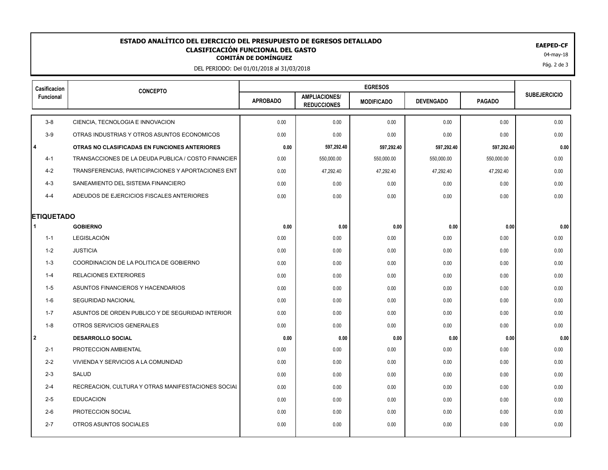## **CLASIFICACIÓN FUNCIONAL DEL GASTO<br>
COMITÁN DE DOMÍNGUEZ<br>
COMITÁN DE DOMÍNGUEZ ESTADO ANALÍTICO DEL EJERCICIO DEL PRESUPUESTO DE EGRESOS DETALLADO EAEPED-CF CLASIFICACIÓN FUNCIONAL DEL GASTO**

DEL PERIODO: Del 01/01/2018 al 31/03/2018

| Casificacion      | <b>CONCEPTO</b>                                     |                 |                                            |                   |                  |               |                     |
|-------------------|-----------------------------------------------------|-----------------|--------------------------------------------|-------------------|------------------|---------------|---------------------|
| Funcional         |                                                     | <b>APROBADO</b> | <b>AMPLIACIONES/</b><br><b>REDUCCIONES</b> | <b>MODIFICADO</b> | <b>DEVENGADO</b> | <b>PAGADO</b> | <b>SUBEJERCICIO</b> |
| $3 - 8$           | CIENCIA, TECNOLOGIA E INNOVACION                    | 0.00            | 0.00                                       | 0.00              | 0.00             | 0.00          | 0.00                |
| $3-9$             | OTRAS INDUSTRIAS Y OTROS ASUNTOS ECONOMICOS         | 0.00            | 0.00                                       | 0.00              | 0.00             | 0.00          | 0.00                |
| l 4               | OTRAS NO CLASIFICADAS EN FUNCIONES ANTERIORES       | 0.00            | 597,292.40                                 | 597,292.40        | 597,292.40       | 597,292.40    | 0.00                |
| $4 - 1$           | TRANSACCIONES DE LA DEUDA PUBLICA / COSTO FINANCIER | 0.00            | 550,000.00                                 | 550,000.00        | 550,000.00       | 550,000.00    | 0.00                |
| $4 - 2$           | TRANSFERENCIAS, PARTICIPACIONES Y APORTACIONES ENT  | 0.00            | 47,292.40                                  | 47,292.40         | 47,292.40        | 47,292.40     | 0.00                |
| $4 - 3$           | SANEAMIENTO DEL SISTEMA FINANCIERO                  | 0.00            | 0.00                                       | 0.00              | 0.00             | 0.00          | 0.00                |
| $4 - 4$           | ADEUDOS DE EJERCICIOS FISCALES ANTERIORES           | 0.00            | 0.00                                       | 0.00              | 0.00             | 0.00          | 0.00                |
| <b>ETIQUETADO</b> |                                                     |                 |                                            |                   |                  |               |                     |
|                   | <b>GOBIERNO</b>                                     | 0.00            | 0.00                                       | 0.00              | 0.00             | 0.00          | 0.00                |
| $1 - 1$           | LEGISLACIÓN                                         | 0.00            | 0.00                                       | 0.00              | 0.00             | 0.00          | 0.00                |
| 1-2               | <b>JUSTICIA</b>                                     | 0.00            | 0.00                                       | 0.00              | 0.00             | 0.00          | 0.00                |
| $1 - 3$           | COORDINACION DE LA POLITICA DE GOBIERNO             | 0.00            | 0.00                                       | 0.00              | 0.00             | 0.00          | 0.00                |
| $1 - 4$           | <b>RELACIONES EXTERIORES</b>                        | 0.00            | 0.00                                       | 0.00              | 0.00             | 0.00          | 0.00                |
| 1-5               | ASUNTOS FINANCIEROS Y HACENDARIOS                   | 0.00            | 0.00                                       | 0.00              | 0.00             | 0.00          | 0.00                |
| 1-6               | SEGURIDAD NACIONAL                                  | 0.00            | 0.00                                       | 0.00              | 0.00             | 0.00          | 0.00                |
| $1 - 7$           | ASUNTOS DE ORDEN PUBLICO Y DE SEGURIDAD INTERIOR    | 0.00            | 0.00                                       | 0.00              | 0.00             | 0.00          | 0.00                |
| $1 - 8$           | OTROS SERVICIOS GENERALES                           | 0.00            | 0.00                                       | 0.00              | 0.00             | 0.00          | 0.00                |
| l 2               | <b>DESARROLLO SOCIAL</b>                            | 0.00            | 0.00                                       | 0.00              | 0.00             | 0.00          | 0.00                |
| $2 - 1$           | PROTECCION AMBIENTAL                                | 0.00            | 0.00                                       | 0.00              | 0.00             | 0.00          | 0.00                |
| $2 - 2$           | VIVIENDA Y SERVICIOS A LA COMUNIDAD                 | 0.00            | 0.00                                       | 0.00              | 0.00             | 0.00          | 0.00                |
| $2 - 3$           | SALUD                                               | 0.00            | 0.00                                       | 0.00              | 0.00             | 0.00          | 0.00                |
| $2 - 4$           | RECREACION, CULTURA Y OTRAS MANIFESTACIONES SOCIAL  | 0.00            | 0.00                                       | 0.00              | 0.00             | 0.00          | 0.00                |
| $2 - 5$           | <b>EDUCACION</b>                                    | 0.00            | 0.00                                       | 0.00              | 0.00             | 0.00          | 0.00                |
| $2-6$             | PROTECCION SOCIAL                                   | 0.00            | 0.00                                       | 0.00              | 0.00             | 0.00          | 0.00                |
| $2 - 7$           | OTROS ASUNTOS SOCIALES                              | 0.00            | 0.00                                       | 0.00              | 0.00             | 0.00          | 0.00                |
|                   |                                                     |                 |                                            |                   |                  |               |                     |

Pág. 2 de 3